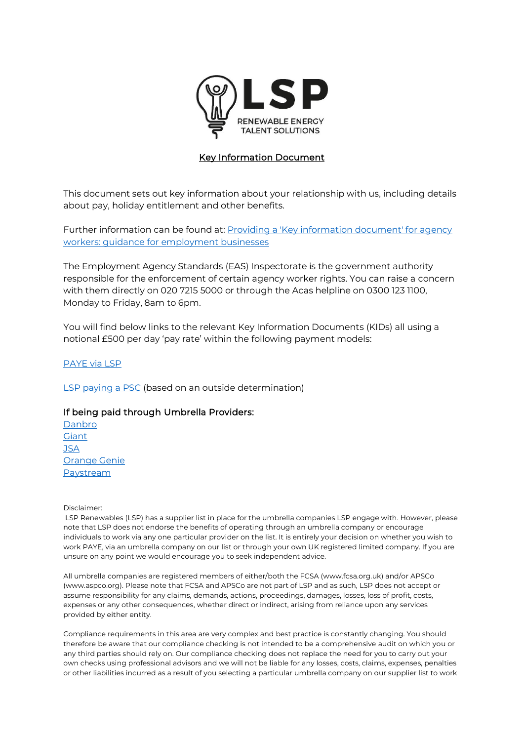

## Key Information Document

This document sets out key information about your relationship with us, including details about pay, holiday entitlement and other benefits.

Further information can be found at: Providing a 'Key information document' for agency [workers: guidance for employment businesses](https://m365.eu.vadesecure.com/safeproxy/v4?f=vl2NDDcZwTnG6QsaNOXQiM60tqsdwUqA2dm9yCpq7t5movo-QITYW7eev4KCE5JX3UJ6MlIygDMPwO-U_SlFhQ&i=wbiJz1A9TZ457E1tHWjSIudOzXV7vcmEMvpsp773zZu3b1PL6NQK5aICc7lKTzeNAj6FpJd_D5HX1Yu4ubbDZQ&k=kCUm&r=ONO5jQsPHDwJ3Z8tJG6TnTl3QrNfPTDXZObIgVPpH-nqCB8Dt4CkM2pVSwGUzmAeuOqzMrq1CK85_BCK-GSJVw&s=6b2a48a983b97cfd4932cc3f6f567a3490537126aef27ea7b4056dc8e2fb98e4&u=https%3A%2F%2Fwww.lightsourcepeople.com%2Fdownload_files%2FKID-Agency-Workers-Business-Employer-Guidance.pdf) 

The Employment Agency Standards (EAS) Inspectorate is the government authority responsible for the enforcement of certain agency worker rights. You can raise a concern with them directly on 020 7215 5000 or through the Acas helpline on 0300 123 1100, Monday to Friday, 8am to 6pm.

You will find below links to the relevant Key Information Documents (KIDs) all using a notional £500 per day 'pay rate' within the following payment models:

## [PAYE via LSP](https://www.lsprenewables.com/download_files/KID-PAYE-via-LSP.pdf)

[LSP paying a PSC](https://www.lsprenewables.com/download_files/KID-PSC.pdf) (based on an outside determination)

## If being paid through Umbrella Providers:

[Danbro](https://www.lsprenewables.com/download_files/KID-Danbro.pdf) **[Giant](https://www.lsprenewables.com/download_files/KID-Giant.pdf) [JSA](https://www.lsprenewables.com/download_files/KID-JSA.pdf)** [Orange Genie](https://www.lsprenewables.com/download_files/KID-Orange-Genie.pdf) [Paystream](https://www.lsprenewables.com/download_files/KID-Paystream.pdf)

Disclaimer:

LSP Renewables (LSP) has a supplier list in place for the umbrella companies LSP engage with. However, please note that LSP does not endorse the benefits of operating through an umbrella company or encourage individuals to work via any one particular provider on the list. It is entirely your decision on whether you wish to work PAYE, via an umbrella company on our list or through your own UK registered limited company. If you are unsure on any point we would encourage you to seek independent advice.

All umbrella companies are registered members of either/both the FCSA (www.fcsa.org.uk) and/or APSCo (www.aspco.org). Please note that FCSA and APSCo are not part of LSP and as such, LSP does not accept or assume responsibility for any claims, demands, actions, proceedings, damages, losses, loss of profit, costs, expenses or any other consequences, whether direct or indirect, arising from reliance upon any services provided by either entity.

Compliance requirements in this area are very complex and best practice is constantly changing. You should therefore be aware that our compliance checking is not intended to be a comprehensive audit on which you or any third parties should rely on. Our compliance checking does not replace the need for you to carry out your own checks using professional advisors and we will not be liable for any losses, costs, claims, expenses, penalties or other liabilities incurred as a result of you selecting a particular umbrella company on our supplier list to work